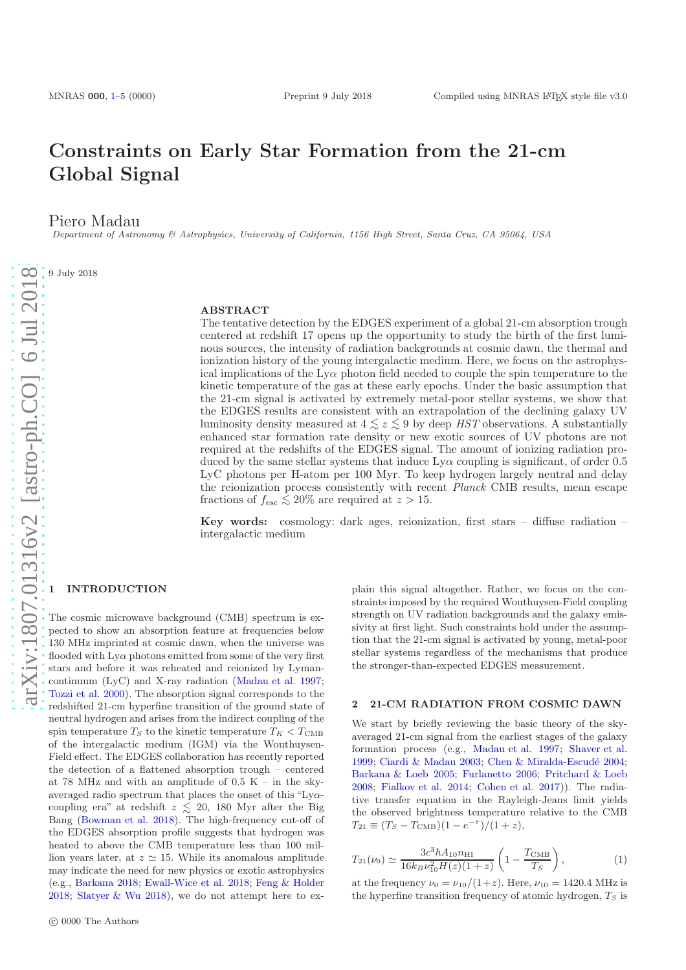# Constraints on Early Star Formation from the 21-cm Global Signal

Piero Madau

Department of Astronomy & Astrophysics, University of California, 1156 High Street, Santa Cruz, CA 95064, USA

9 July 2018

## ABSTRACT

The tentative detection by the EDGES experiment of a global 21-cm absorption trough centered at redshift 17 opens up the opportunity to study the birth of the first luminous sources, the intensity of radiation backgrounds at cosmic dawn, the thermal and ionization history of the young intergalactic medium. Here, we focus on the astrophysical implications of the  $Ly\alpha$  photon field needed to couple the spin temperature to the kinetic temperature of the gas at these early epochs. Under the basic assumption that the 21-cm signal is activated by extremely metal-poor stellar systems, we show that the EDGES results are consistent with an extrapolation of the declining galaxy UV luminosity density measured at  $4 \leq z \leq 9$  by deep HST observations. A substantially enhanced star formation rate density or new exotic sources of UV photons are not required at the redshifts of the EDGES signal. The amount of ionizing radiation produced by the same stellar systems that induce  $L_{\text{V}\alpha}$  coupling is significant, of order 0.5 LyC photons per H-atom per 100 Myr. To keep hydrogen largely neutral and delay the reionization process consistently with recent *Planck* CMB results, mean escape fractions of  $f_{\rm esc} \lesssim 20\%$  are required at  $z > 15$ .

Key words: cosmology: dark ages, reionization, first stars  $-$  diffuse radiation  $$ intergalactic medium

## <span id="page-0-0"></span>**INTRODUCTION**

The cosmic microwave background (CMB) spectrum is expected to show an absorption feature at frequencies below 130 MHz imprinted at cosmic dawn, when the universe was flooded with  $Ly\alpha$  photons emitted from some of the very first stars and before it was reheated and reionized by Lymancontinuum (LyC) and X-ray radiation [\(Madau et al. 1997;](#page-4-1) [Tozzi et al. 2000](#page-4-2)). The absorption signal corresponds to the redshifted 21-cm hyperfine transition of the ground state of neutral hydrogen and arises from the indirect coupling of the spin temperature  $T_S$  to the kinetic temperature  $T_K < T_{\text{CMB}}$ of the intergalactic medium (IGM) via the Wouthuysen-Field effect. The EDGES collaboration has recently reported the detection of a flattened absorption trough – centered at 78 MHz and with an amplitude of  $0.5$  K – in the skyaveraged radio spectrum that places the onset of this "Lyαcoupling era" at redshift  $z \leq 20,180$  Myr after the Big<br>Bang (Boyman et al. 2018). The bigh frequency gut off of Bang [\(Bowman et al. 2018](#page-4-3)). The high-frequency cut-off of the EDGES absorption profile suggests that hydrogen was heated to above the CMB temperature less than 100 million years later, at  $z \approx 15$ . While its anomalous amplitude may indicate the need for new physics or exotic astrophysics (e.g., [Barkana 2018](#page-4-4); [Ewall-Wice et al. 2018](#page-4-5); [Feng & Holder](#page-4-6) [2018](#page-4-6); [Slatyer & Wu 2018](#page-4-7)), we do not attempt here to explain this signal altogether. Rather, we focus on the constraints imposed by the required Wouthuysen-Field coupling strength on UV radiation backgrounds and the galaxy emissivity at first light. Such constraints hold under the assumption that the 21-cm signal is activated by young, metal-poor stellar systems regardless of the mechanisms that produce the stronger-than-expected EDGES measurement.

#### 2 21-CM RADIATION FROM COSMIC DAWN

We start by briefly reviewing the basic theory of the skyaveraged 21-cm signal from the earliest stages of the galaxy formation process (e.g., [Madau et al. 1997](#page-4-1); [Shaver et al.](#page-4-8) [1999](#page-4-8); [Ciardi & Madau 2003](#page-4-9); Chen & Miralda-Escudé 2004; [Barkana & Loeb 2005](#page-4-11); [Furlanetto 2006;](#page-4-12) [Pritchard & Loeb](#page-4-13) [2008](#page-4-13); [Fialkov et al. 2014;](#page-4-14) [Cohen et al. 2017\)](#page-4-15)). The radiative transfer equation in the Rayleigh-Jeans limit yields the observed brightness temperature relative to the CMB  $T_{21} \equiv (T_S - T_{\text{CMB}})(1 - e^{-\tau})/(1 + z),$ 

$$
T_{21}(\nu_0) \simeq \frac{3c^3 \hbar A_{10} n_{\rm HI}}{16k_B \nu_{10}^2 H(z)(1+z)} \left(1 - \frac{T_{\rm CMB}}{T_S}\right),\tag{1}
$$

at the frequency  $\nu_0 = \nu_{10}/(1+z)$ . Here,  $\nu_{10} = 1420.4 \text{ MHz}$  is the hyperfine transition frequency of atomic hydrogen,  $T<sub>S</sub>$  is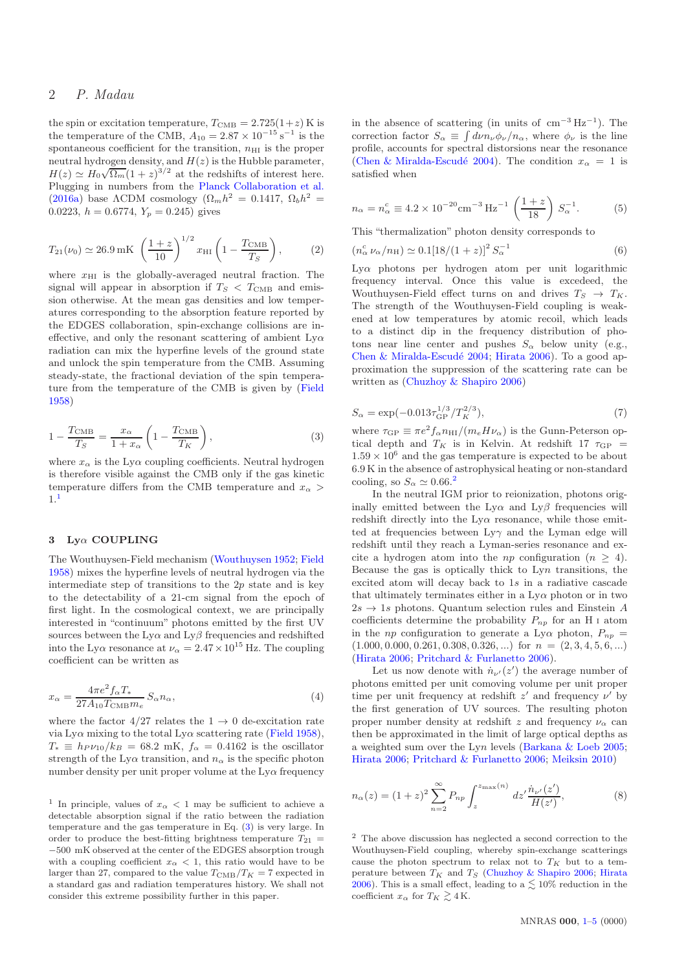## 2 P. Madau

the spin or excitation temperature,  $T_{\text{CMB}} = 2.725(1+z)$  K is the temperature of the CMB,  $A_{10} = 2.87 \times 10^{-15} \text{ s}^{-1}$  is the spontaneous coefficient for the transition,  $n_{\text{H I}}$  is the proper neutral hydrogen density, and  $H(z)$  is the Hubble parameter,  $H(z) \simeq H_0 \sqrt{\Omega_m} (1+z)^{3/2}$  at the redshifts of interest here. Plugging in numbers from the [Planck Collaboration et al.](#page-4-16) [\(2016a\)](#page-4-16) base  $\Lambda$ CDM cosmology ( $\Omega_m h^2 = 0.1417$ ,  $\Omega_b h^2 =$ 0.0223,  $h = 0.6774$ ,  $Y_p = 0.245$ ) gives

$$
T_{21}(\nu_0) \simeq 26.9 \text{ mK} \left(\frac{1+z}{10}\right)^{1/2} x_{\text{HI}} \left(1 - \frac{T_{\text{CMB}}}{T_S}\right),
$$
 (2)

where  $x_{\text{H}I}$  is the globally-averaged neutral fraction. The signal will appear in absorption if  $T_S < T_{\text{CMB}}$  and emission otherwise. At the mean gas densities and low temperatures corresponding to the absorption feature reported by the EDGES collaboration, spin-exchange collisions are ineffective, and only the resonant scattering of ambient  $Ly\alpha$ radiation can mix the hyperfine levels of the ground state and unlock the spin temperature from the CMB. Assuming steady-state, the fractional deviation of the spin temperature from the temperature of the CMB is given by [\(Field](#page-4-17) [1958](#page-4-17))

<span id="page-1-1"></span>
$$
1 - \frac{T_{\text{CMB}}}{T_S} = \frac{x_{\alpha}}{1 + x_{\alpha}} \left( 1 - \frac{T_{\text{CMB}}}{T_K} \right),\tag{3}
$$

where  $x_{\alpha}$  is the Ly $\alpha$  coupling coefficients. Neutral hydrogen is therefore visible against the CMB only if the gas kinetic temperature differs from the CMB temperature and  $x_{\alpha}$ 1.[1](#page-1-0)

### 3 Lyα COUPLING

The Wouthuysen-Field mechanism [\(Wouthuysen 1952](#page-4-18); [Field](#page-4-17) [1958](#page-4-17)) mixes the hyperfine levels of neutral hydrogen via the intermediate step of transitions to the  $2p$  state and is key to the detectability of a 21-cm signal from the epoch of first light. In the cosmological context, we are principally interested in "continuum" photons emitted by the first UV sources between the Ly $\alpha$  and Ly $\beta$  frequencies and redshifted into the Ly $\alpha$  resonance at  $\nu_{\alpha} = 2.47 \times 10^{15}$  Hz. The coupling coefficient can be written as

$$
x_{\alpha} = \frac{4\pi e^2 f_{\alpha} T_*}{27 A_{10} T_{\text{CMB}} m_e} S_{\alpha} n_{\alpha},\tag{4}
$$

where the factor  $4/27$  relates the  $1 \rightarrow 0$  de-excitation rate via Ly $\alpha$  mixing to the total Ly $\alpha$  scattering rate [\(Field 1958](#page-4-17)),  $T_* \equiv h_P v_{10}/k_B = 68.2$  mK,  $f_\alpha = 0.4162$  is the oscillator strength of the Ly $\alpha$  transition, and  $n_{\alpha}$  is the specific photon number density per unit proper volume at the  $Ly\alpha$  frequency

in the absence of scattering (in units of  $\text{cm}^{-3} \text{ Hz}^{-1}$ ). The correction factor  $S_{\alpha} \equiv \int d\nu n_{\nu} \phi_{\nu}/n_{\alpha}$ , where  $\phi_{\nu}$  is the line profile, accounts for spectral distorsions near the resonance (Chen & Miralda-Escudé 2004). The condition  $x_\alpha = 1$  is satisfied when

<span id="page-1-4"></span>
$$
n_{\alpha} = n_{\alpha}^{c} \equiv 4.2 \times 10^{-20} \text{cm}^{-3} \text{ Hz}^{-1} \left(\frac{1+z}{18}\right) S_{\alpha}^{-1}.
$$
 (5)

This "thermalization" photon density corresponds to

$$
(n_{\alpha}^{c} \nu_{\alpha}/n_{\rm H}) \simeq 0.1[18/(1+z)]^{2} S_{\alpha}^{-1}
$$
 (6)

 $Ly\alpha$  photons per hydrogen atom per unit logarithmic frequency interval. Once this value is excedeed, the Wouthuysen-Field effect turns on and drives  $T_S \rightarrow T_K$ . The strength of the Wouthuysen-Field coupling is weakened at low temperatures by atomic recoil, which leads to a distinct dip in the frequency distribution of photons near line center and pushes  $S_{\alpha}$  below unity (e.g., Chen & Miralda-Escudé 2004; [Hirata 2006](#page-4-19)). To a good approximation the suppression of the scattering rate can be written as [\(Chuzhoy & Shapiro 2006\)](#page-4-20)

$$
S_{\alpha} = \exp(-0.013 \tau_{\rm GP}^{1/3} / T_K^{2/3}),\tag{7}
$$

where  $\tau_{\rm GP} \equiv \pi e^2 f_\alpha n_{\rm HI} / (m_e H \nu_\alpha)$  is the Gunn-Peterson optical depth and  $T_K$  is in Kelvin. At redshift 17  $\tau_{\text{GP}}$  =  $1.59 \times 10^6$  and the gas temperature is expected to be about 6.9 K in the absence of astrophysical heating or non-standard cooling, so  $S_{\alpha} \simeq 0.66$ <sup>[2](#page-1-2)</sup>

In the neutral IGM prior to reionization, photons originally emitted between the Ly $\alpha$  and Ly $\beta$  frequencies will redshift directly into the  $Ly\alpha$  resonance, while those emitted at frequencies between  $Ly\gamma$  and the Lyman edge will redshift until they reach a Lyman-series resonance and excite a hydrogen atom into the *np* configuration  $(n \geq 4)$ . Because the gas is optically thick to  $Lyn$  transitions, the excited atom will decay back to 1s in a radiative cascade that ultimately terminates either in a  $L_y\alpha$  photon or in two  $2s \rightarrow 1s$  photons. Quantum selection rules and Einstein A coefficients determine the probability  $P_{np}$  for an H I atom in the *np* configuration to generate a Ly $\alpha$  photon,  $P_{np}$  =  $(1.000, 0.000, 0.261, 0.308, 0.326, ...)$  for  $n = (2, 3, 4, 5, 6, ...)$ [\(Hirata 2006](#page-4-19); [Pritchard & Furlanetto 2006\)](#page-4-21).

Let us now denote with  $\dot{n}_{\nu'}(z')$  the average number of photons emitted per unit comoving volume per unit proper time per unit frequency at redshift  $z'$  and frequency  $\nu'$  by the first generation of UV sources. The resulting photon proper number density at redshift z and frequency  $\nu_{\alpha}$  can then be approximated in the limit of large optical depths as a weighted sum over the Lyn levels [\(Barkana & Loeb 2005;](#page-4-11) [Hirata 2006](#page-4-19); [Pritchard & Furlanetto 2006](#page-4-21); [Meiksin 2010](#page-4-22))

<span id="page-1-3"></span>
$$
n_{\alpha}(z) = (1+z)^2 \sum_{n=2}^{\infty} P_{np} \int_{z}^{z_{\text{max}}(n)} dz' \frac{\dot{n}_{\nu'}(z')}{H(z')},
$$
 (8)

<span id="page-1-2"></span><sup>2</sup> The above discussion has neglected a second correction to the Wouthuysen-Field coupling, whereby spin-exchange scatterings cause the photon spectrum to relax not to  $T_K$  but to a temperature between  $T_K$  and  $T_S$  [\(Chuzhoy & Shapiro 2006;](#page-4-20) [Hirata](#page-4-19) [2006](#page-4-19)). This is a small effect, leading to a  $\lesssim$  10% reduction in the coefficient  $x_{\alpha}$  for  $T_K \gtrsim 4$  K.

<span id="page-1-0"></span><sup>&</sup>lt;sup>1</sup> In principle, values of  $x_{\alpha}$  < 1 may be sufficient to achieve a detectable absorption signal if the ratio between the radiation temperature and the gas temperature in Eq. [\(3\)](#page-1-1) is very large. In order to produce the best-fitting brightness temperature  $T_{21}$  = −500 mK observed at the center of the EDGES absorption trough with a coupling coefficient  $x_{\alpha} < 1$ , this ratio would have to be larger than 27, compared to the value  $T_{\text{CMB}}/T_K = 7$  expected in a standard gas and radiation temperatures history. We shall not consider this extreme possibility further in this paper.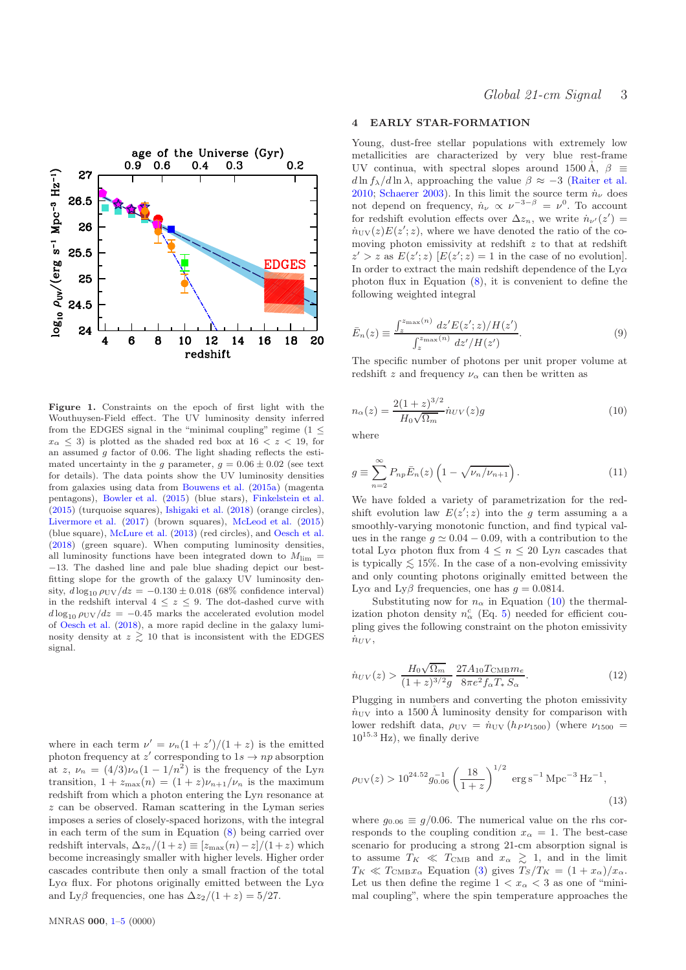

<span id="page-2-1"></span>Figure 1. Constraints on the epoch of first light with the Wouthuysen-Field effect. The UV luminosity density inferred from the EDGES signal in the "minimal coupling" regime  $(1 \leq$  $x_\alpha \leq 3$ ) is plotted as the shaded red box at  $16 < z < 19$ , for an assumed  $q$  factor of 0.06. The light shading reflects the estimated uncertainty in the g parameter,  $g = 0.06 \pm 0.02$  (see text for details). The data points show the UV luminosity densities from galaxies using data from [Bouwens et al.](#page-4-23) [\(2015a](#page-4-23)) (magenta pentagons), [Bowler et al.](#page-4-24) [\(2015](#page-4-24)) (blue stars), [Finkelstein et al.](#page-4-25) [\(2015](#page-4-25)) (turquoise squares), [Ishigaki et al.](#page-4-26) [\(2018\)](#page-4-26) (orange circles), [Livermore et al.](#page-4-27) [\(2017\)](#page-4-27) (brown squares), [McLeod et al.](#page-4-28) [\(2015\)](#page-4-28) (blue square), [McLure et al.](#page-4-29) [\(2013\)](#page-4-29) (red circles), and [Oesch et al.](#page-4-30) [\(2018](#page-4-30)) (green square). When computing luminosity densities, all luminosity functions have been integrated down to  $M_{\text{lim}} =$ −13. The dashed line and pale blue shading depict our bestfitting slope for the growth of the galaxy UV luminosity density,  $d \log_{10} \rho_{UV}/dz = -0.130 \pm 0.018$  (68% confidence interval) in the redshift interval  $4 \leq z \leq 9$ . The dot-dashed curve with  $d \log_{10} \rho_{\rm UV}/dz = -0.45$  marks the accelerated evolution model of [Oesch et al.](#page-4-30) [\(2018](#page-4-30)), a more rapid decline in the galaxy luminosity density at  $z \gtrsim 10$  that is inconsistent with the EDGES signal.

where in each term  $\nu' = \nu_n(1 + z')/(1 + z)$  is the emitted photon frequency at z' corresponding to  $1s \rightarrow np$  absorption at  $z, \nu_n = (4/3)\nu_\alpha(1 - 1/n^2)$  is the frequency of the Lyn transition,  $1 + z_{\text{max}}(n) = (1 + z)\nu_{n+1}/\nu_n$  is the maximum redshift from which a photon entering the Lyn resonance at z can be observed. Raman scattering in the Lyman series imposes a series of closely-spaced horizons, with the integral in each term of the sum in Equation [\(8\)](#page-1-3) being carried over redshift intervals,  $\Delta z_n/(1+z) \equiv [z_{\text{max}}(n)-z]/(1+z)$  which become increasingly smaller with higher levels. Higher order cascades contribute then only a small fraction of the total Ly $\alpha$  flux. For photons originally emitted between the Ly $\alpha$ and Ly $\beta$  frequencies, one has  $\Delta z_2/(1+z) = 5/27$ .

## 4 EARLY STAR-FORMATION

Young, dust-free stellar populations with extremely low metallicities are characterized by very blue rest-frame UV continua, with spectral slopes around 1500 Å,  $\beta \equiv$  $d \ln f_\lambda / d \ln \lambda$ , approaching the value  $\beta \approx -3$  [\(Raiter et al.](#page-4-31) [2010](#page-4-31); [Schaerer 2003](#page-4-32)). In this limit the source term  $\dot{n}_{\nu}$  does not depend on frequency,  $\dot{n}_{\nu} \propto \nu^{-3-\beta} = \nu^0$ . To account for redshift evolution effects over  $\Delta z_n$ , we write  $\dot{n}_{\nu'}(z') =$  $\dot{n}_{\rm UV}(z)E(z';z)$ , where we have denoted the ratio of the comoving photon emissivity at redshift  $z$  to that at redshift  $z' > z$  as  $E(z'; z)$   $[E(z'; z) = 1$  in the case of no evolution. In order to extract the main redshift dependence of the  $Ly\alpha$ photon flux in Equation [\(8\)](#page-1-3), it is convenient to define the following weighted integral

$$
\bar{E}_n(z) \equiv \frac{\int_z^{z_{\text{max}}(n)} dz' E(z'; z) / H(z')}{\int_z^{z_{\text{max}}(n)} dz' / H(z')}.
$$
\n(9)

<span id="page-2-0"></span>The specific number of photons per unit proper volume at redshift z and frequency  $\nu_{\alpha}$  can then be written as

$$
n_{\alpha}(z) = \frac{2(1+z)^{3/2}}{H_0\sqrt{\Omega_m}} \dot{n}_{UV}(z)g
$$
\n(10)

where

$$
g \equiv \sum_{n=2}^{\infty} P_{np} \bar{E}_n(z) \left( 1 - \sqrt{\nu_n / \nu_{n+1}} \right). \tag{11}
$$

We have folded a variety of parametrization for the redshift evolution law  $E(z'; z)$  into the g term assuming a a smoothly-varying monotonic function, and find typical values in the range  $g \approx 0.04 - 0.09$ , with a contribution to the total Ly $\alpha$  photon flux from  $4 \leq n \leq 20$  Lyn cascades that is typically  $\lesssim$  15%. In the case of a non-evolving emissivity and only counting photons exiginally emitted between the and only counting photons originally emitted between the Ly $\alpha$  and Ly $\beta$  frequencies, one has  $q = 0.0814$ .

Substituting now for  $n_{\alpha}$  in Equation [\(10\)](#page-2-0) the thermalization photon density  $n_{\alpha}^{c}$  (Eq. [5\)](#page-1-4) needed for efficient coupling gives the following constraint on the photon emissivity  $\dot{n}_{\rm UV}$ ,

$$
\dot{n}_{UV}(z) > \frac{H_0 \sqrt{\Omega_m}}{(1+z)^{3/2}g} \frac{27A_{10}T_{\text{CMB}}m_e}{8\pi e^2 f_\alpha T_* S_\alpha}.
$$
\n(12)

Plugging in numbers and converting the photon emissivity  $\dot{n}_{\rm UV}$  into a 1500 Å luminosity density for comparison with lower redshift data,  $\rho_{\rm UV} = \dot{n}_{\rm UV} (h_P \nu_{1500})$  (where  $\nu_{1500} =$  $10^{15.3}$  Hz), we finally derive

$$
\rho_{\rm UV}(z) > 10^{24.52} g_{0.06}^{-1} \left(\frac{18}{1+z}\right)^{1/2} \text{ erg s}^{-1} \text{ Mpc}^{-3} \text{ Hz}^{-1},
$$
\n(13)

where  $g_{0.06} \equiv g/0.06$ . The numerical value on the rhs corresponds to the coupling condition  $x_{\alpha} = 1$ . The best-case scenario for producing a strong 21-cm absorption signal is to assume  $T_K \ll T_{\text{CMB}}$  and  $x_\alpha \gtrsim 1$ , and in the limit  $T_{\text{C}} \ll T_{\text{CMB}}$ . Founding  $(T_2/T_{\text{C}} - (1+x)/x)$  $T_K \ll T_{\text{CMB}} x_\alpha$  Equation [\(3\)](#page-1-1) gives  $T_S/T_K = (1 + x_\alpha)/x_\alpha$ . Let us then define the regime  $1 < x_{\alpha} < 3$  as one of "minimal coupling", where the spin temperature approaches the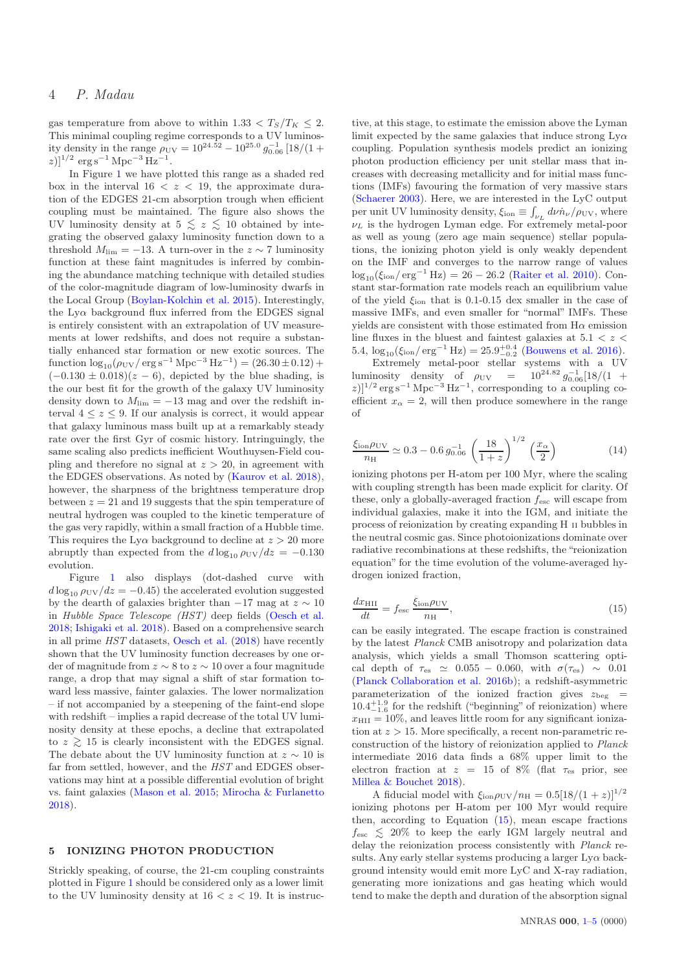gas temperature from above to within 1.33  $\lt T_S/T_K \leq 2$ . This minimal coupling regime corresponds to a UV luminosity density in the range  $\rho_{\rm UV} = 10^{24.52} - 10^{25.0} g_{0.06}^{-1} [18/(1 +$  $|z|$  $\text{erg}\,\text{s}^{-1}\,\text{Mpc}^{-3}\,\text{Hz}^{-1}.$ 

In Figure [1](#page-2-1) we have plotted this range as a shaded red box in the interval  $16 < z < 19$ , the approximate duration of the EDGES 21-cm absorption trough when efficient coupling must be maintained. The figure also shows the UV luminosity density at  $5 \leq z \leq 10$  obtained by inte-<br>creating the observed galaxy luminosity function down to a grating the observed galaxy luminosity function down to a threshold  $M_{\text{lim}} = -13$ . A turn-over in the  $z \sim 7$  luminosity function at these faint magnitudes is inferred by combining the abundance matching technique with detailed studies of the color-magnitude diagram of low-luminosity dwarfs in the Local Group [\(Boylan-Kolchin et al. 2015](#page-4-33)). Interestingly, the  $Ly\alpha$  background flux inferred from the EDGES signal is entirely consistent with an extrapolation of UV measurements at lower redshifts, and does not require a substantially enhanced star formation or new exotic sources. The function  $\log_{10}(\rho_{UV}/\text{erg s}^{-1} \text{ Mpc}^{-3} \text{ Hz}^{-1}) = (26.30 \pm 0.12) +$  $(-0.130 \pm 0.018)(z - 6)$ , depicted by the blue shading, is the our best fit for the growth of the galaxy UV luminosity density down to  $M_{\text{lim}} = -13$  mag and over the redshift interval  $4 \leq z \leq 9$ . If our analysis is correct, it would appear that galaxy luminous mass built up at a remarkably steady rate over the first Gyr of cosmic history. Intringuingly, the same scaling also predicts inefficient Wouthuysen-Field coupling and therefore no signal at  $z > 20$ , in agreement with the EDGES observations. As noted by [\(Kaurov et al. 2018](#page-4-34)), however, the sharpness of the brightness temperature drop between  $z = 21$  and 19 suggests that the spin temperature of neutral hydrogen was coupled to the kinetic temperature of the gas very rapidly, within a small fraction of a Hubble time. This requires the Ly $\alpha$  background to decline at  $z > 20$  more abruptly than expected from the  $d \log_{10} \rho_{\rm UV}/dz = -0.130$ evolution.

Figure [1](#page-2-1) also displays (dot-dashed curve with  $d \log_{10} \rho_{UV}/dz = -0.45$ ) the accelerated evolution suggested by the dearth of galaxies brighter than  $-17$  mag at  $z \sim 10$ in Hubble Space Telescope (HST) deep fields [\(Oesch et al.](#page-4-30) [2018](#page-4-30); [Ishigaki et al. 2018](#page-4-26)). Based on a comprehensive search in all prime HST datasets, [Oesch et al.](#page-4-30) [\(2018](#page-4-30)) have recently shown that the UV luminosity function decreases by one order of magnitude from  $z \sim 8$  to  $z \sim 10$  over a four magnitude range, a drop that may signal a shift of star formation toward less massive, fainter galaxies. The lower normalization – if not accompanied by a steepening of the faint-end slope with redshift – implies a rapid decrease of the total UV luminosity density at these epochs, a decline that extrapolated to  $z \gtrsim 15$  is clearly inconsistent with the EDGES signal. The debate about the UV luminosity function at  $z \sim 10$  is far from settled, however, and the HST and EDGES observations may hint at a possible differential evolution of bright vs. faint galaxies [\(Mason et al. 2015](#page-4-35); [Mirocha & Furlanetto](#page-4-36) [2018](#page-4-36)).

#### 5 IONIZING PHOTON PRODUCTION

Strickly speaking, of course, the 21-cm coupling constraints plotted in Figure [1](#page-2-1) should be considered only as a lower limit to the UV luminosity density at  $16 < z < 19$ . It is instruc-

tive, at this stage, to estimate the emission above the Lyman limit expected by the same galaxies that induce strong  $Lv\alpha$ coupling. Population synthesis models predict an ionizing photon production efficiency per unit stellar mass that increases with decreasing metallicity and for initial mass functions (IMFs) favouring the formation of very massive stars [\(Schaerer 2003](#page-4-32)). Here, we are interested in the LyC output per unit UV luminosity density,  $\xi_{\text{ion}} \equiv \int_{\nu_L} d\nu \dot{n}_{\nu} / \rho_{\text{UV}}$ , where  $\nu_L$  is the hydrogen Lyman edge. For extremely metal-poor as well as young (zero age main sequence) stellar populations, the ionizing photon yield is only weakly dependent on the IMF and converges to the narrow range of values  $\log_{10}(\xi_{\text{ion}}/\text{erg}^{-1}\text{ Hz}) = 26 - 26.2$  [\(Raiter et al. 2010](#page-4-31)). Constant star-formation rate models reach an equilibrium value of the yield  $\xi_{\text{ion}}$  that is 0.1-0.15 dex smaller in the case of massive IMFs, and even smaller for "normal" IMFs. These yields are consistent with those estimated from  $H\alpha$  emission line fluxes in the bluest and faintest galaxies at  $5.1 < z <$ 5.4,  $\log_{10}(\xi_{\text{ion}}/\text{erg}^{-1} \text{ Hz}) = 25.9_{-0.2}^{+0.4}$  [\(Bouwens et al. 2016](#page-4-37)).

Extremely metal-poor stellar systems with a UV luminosity density of  $\rho_{UV} = 10^{24.82} g_{0.06}^{-1} [18/(1 +$  $(z)^{1/2}$  erg s<sup>-1</sup> Mpc<sup>-3</sup> Hz<sup>-1</sup>, corresponding to a coupling coefficient  $x_\alpha = 2$ , will then produce somewhere in the range of

$$
\frac{\xi_{\text{ion}}\rho_{\text{UV}}}{n_{\text{H}}} \simeq 0.3 - 0.6 \, g_{0.06}^{-1} \left(\frac{18}{1+z}\right)^{1/2} \left(\frac{x_{\alpha}}{2}\right) \tag{14}
$$

ionizing photons per H-atom per 100 Myr, where the scaling with coupling strength has been made explicit for clarity. Of these, only a globally-averaged fraction  $f_{\text{esc}}$  will escape from individual galaxies, make it into the IGM, and initiate the process of reionization by creating expanding H II bubbles in the neutral cosmic gas. Since photoionizations dominate over radiative recombinations at these redshifts, the "reionization equation" for the time evolution of the volume-averaged hydrogen ionized fraction,

<span id="page-3-0"></span>
$$
\frac{dx_{\rm HII}}{dt} = f_{\rm esc} \frac{\xi_{\rm ion}\rho_{\rm UV}}{n_{\rm H}},\tag{15}
$$

can be easily integrated. The escape fraction is constrained by the latest Planck CMB anisotropy and polarization data analysis, which yields a small Thomson scattering optical depth of  $\tau_{es} \simeq 0.055 - 0.060$ , with  $\sigma(\tau_{es}) \sim 0.01$ [\(Planck Collaboration et al. 2016b](#page-4-38)); a redshift-asymmetric parameterization of the ionized fraction gives  $z_{\text{beg}}$  $10.4^{+1.9}_{-1.6}$  for the redshift ("beginning" of reionization) where  $x_{\text{HII}} = 10\%$ , and leaves little room for any significant ionization at  $z > 15$ . More specifically, a recent non-parametric reconstruction of the history of reionization applied to Planck intermediate 2016 data finds a 68% upper limit to the electron fraction at  $z = 15$  of 8% (flat  $\tau_{es}$  prior, see [Millea & Bouchet 2018](#page-4-39)).

A fiducial model with  $\xi_{\text{ion}}\rho_{\text{UV}}/n_{\text{H}} = 0.5[18/(1+z)]^{1/2}$ ionizing photons per H-atom per 100 Myr would require then, according to Equation [\(15\)](#page-3-0), mean escape fractions  $f_{\text{esc}} \lesssim 20\%$  to keep the early IGM largely neutral and delay the minimizing process consistently with *Blanch* redelay the reionization process consistently with Planck results. Any early stellar systems producing a larger  $Ly\alpha$  background intensity would emit more LyC and X-ray radiation, generating more ionizations and gas heating which would tend to make the depth and duration of the absorption signal